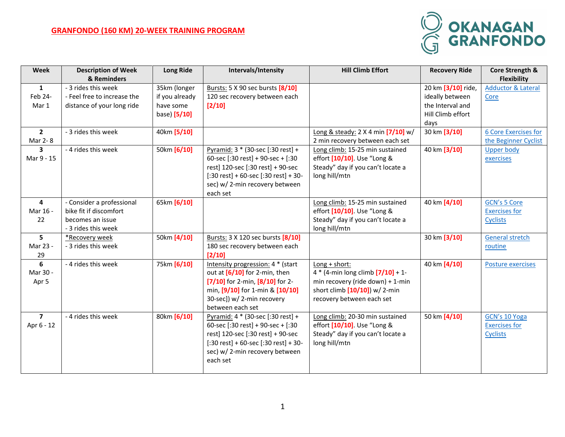## **GRANFONDO (160 KM) 20-WEEK TRAINING PROGRAM**



| <b>Week</b>    | <b>Description of Week</b><br>& Reminders | <b>Long Ride</b> | Intervals/Intensity                                                    | <b>Hill Climb Effort</b>                                             | <b>Recovery Ride</b> | Core Strength &<br><b>Flexibility</b> |
|----------------|-------------------------------------------|------------------|------------------------------------------------------------------------|----------------------------------------------------------------------|----------------------|---------------------------------------|
| $\mathbf{1}$   | - 3 rides this week                       | 35km (longer     | Bursts: 5 X 90 sec bursts [8/10]                                       |                                                                      | 20 km [3/10] ride,   | <b>Adductor &amp; Lateral</b>         |
| Feb 24-        | - Feel free to increase the               | if you already   | 120 sec recovery between each                                          |                                                                      | ideally between      | Core                                  |
| Mar 1          | distance of your long ride                | have some        | $[2/10]$                                                               |                                                                      | the Interval and     |                                       |
|                |                                           | base) [5/10]     |                                                                        |                                                                      | Hill Climb effort    |                                       |
|                |                                           |                  |                                                                        |                                                                      | days                 |                                       |
| $\overline{2}$ | - 3 rides this week                       | 40km [5/10]      |                                                                        | Long & steady: 2 X 4 min [7/10] w/                                   | 30 km [3/10]         | <b>6 Core Exercises for</b>           |
| Mar 2-8        |                                           |                  |                                                                        | 2 min recovery between each set                                      |                      | the Beginner Cyclist                  |
| 3              | - 4 rides this week                       | 50km [6/10]      | Pyramid: 3 * (30-sec [:30 rest] +                                      | Long climb: 15-25 min sustained                                      | 40 km [3/10]         | <b>Upper body</b>                     |
| Mar 9 - 15     |                                           |                  | 60-sec [:30 rest] + 90-sec + [:30                                      | effort [10/10]. Use "Long &                                          |                      | exercises                             |
|                |                                           |                  | rest] 120-sec [:30 rest] + 90-sec                                      | Steady" day if you can't locate a                                    |                      |                                       |
|                |                                           |                  | $[:30 \text{ rest}] + 60$ -sec $[:30 \text{ rest}] + 30$ -             | long hill/mtn                                                        |                      |                                       |
|                |                                           |                  | sec) w/2-min recovery between                                          |                                                                      |                      |                                       |
|                |                                           |                  | each set                                                               |                                                                      |                      |                                       |
| 4              | - Consider a professional                 | 65km [6/10]      |                                                                        | Long climb: 15-25 min sustained                                      | 40 km [4/10]         | <b>GCN's 5 Core</b>                   |
| Mar 16 -       | bike fit if discomfort                    |                  |                                                                        | effort [10/10]. Use "Long &                                          |                      | <b>Exercises for</b>                  |
| 22             | becomes an issue                          |                  |                                                                        | Steady" day if you can't locate a                                    |                      | <b>Cyclists</b>                       |
|                | - 3 rides this week                       |                  |                                                                        | long hill/mtn                                                        |                      |                                       |
| 5              | *Recovery week                            | 50km [4/10]      | Bursts: 3 X 120 sec bursts [8/10]                                      |                                                                      | 30 km [3/10]         | <b>General stretch</b>                |
| Mar 23 -       | - 3 rides this week                       |                  | 180 sec recovery between each                                          |                                                                      |                      | routine                               |
| 29             |                                           |                  | $[2/10]$                                                               |                                                                      |                      |                                       |
| 6              | - 4 rides this week                       | 75km [6/10]      | Intensity progression: 4 * (start                                      | Long + short:                                                        | 40 km [4/10]         | <b>Posture exercises</b>              |
| Mar 30 -       |                                           |                  | out at $[6/10]$ for 2-min, then<br>$[7/10]$ for 2-min, $[8/10]$ for 2- | $4 * (4 - min long climb [7/10] + 1 -$                               |                      |                                       |
| Apr 5          |                                           |                  | min, [9/10] for 1-min & [10/10]                                        | min recovery (ride down) + 1-min<br>short climb $[10/10]$ ) w/ 2-min |                      |                                       |
|                |                                           |                  | 30-sec]) w/ 2-min recovery                                             | recovery between each set                                            |                      |                                       |
|                |                                           |                  | between each set                                                       |                                                                      |                      |                                       |
| $\overline{7}$ | - 4 rides this week                       | 80km [6/10]      | Pyramid: 4 * (30-sec [:30 rest] +                                      | Long climb: 20-30 min sustained                                      | 50 km [4/10]         | GCN's 10 Yoga                         |
| Apr 6 - 12     |                                           |                  | 60-sec [:30 rest] + 90-sec + [:30                                      | effort [10/10]. Use "Long &                                          |                      | <b>Exercises for</b>                  |
|                |                                           |                  | rest] 120-sec [:30 rest] + 90-sec                                      | Steady" day if you can't locate a                                    |                      | <b>Cyclists</b>                       |
|                |                                           |                  | $[:30 \text{ rest}] + 60$ -sec $[:30 \text{ rest}] + 30$ -             | long hill/mtn                                                        |                      |                                       |
|                |                                           |                  | sec) w/2-min recovery between                                          |                                                                      |                      |                                       |
|                |                                           |                  | each set                                                               |                                                                      |                      |                                       |
|                |                                           |                  |                                                                        |                                                                      |                      |                                       |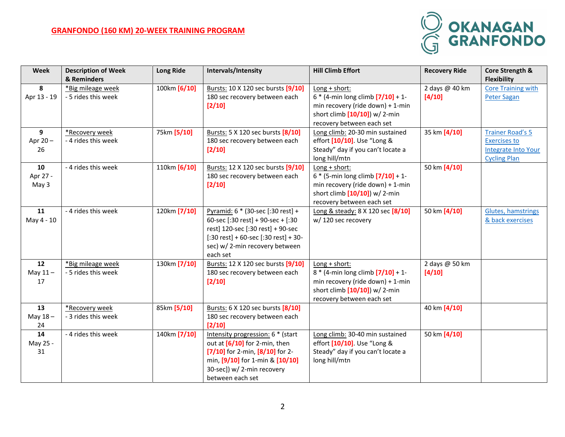## **GRANFONDO (160 KM) 20-WEEK TRAINING PROGRAM**



| Week            | <b>Description of Week</b> | <b>Long Ride</b> | Intervals/Intensity                                           | <b>Hill Climb Effort</b>                                      | <b>Recovery Ride</b> | Core Strength &            |
|-----------------|----------------------------|------------------|---------------------------------------------------------------|---------------------------------------------------------------|----------------------|----------------------------|
|                 | & Reminders                |                  |                                                               |                                                               |                      | <b>Flexibility</b>         |
| 8               | *Big mileage week          | 100km [6/10]     | Bursts: 10 X 120 sec bursts [9/10]                            | $Long + short:$                                               | 2 days @ 40 km       | <b>Core Training with</b>  |
| Apr 13 - 19     | - 5 rides this week        |                  | 180 sec recovery between each                                 | $6 * (4 - min long climb [7/10] + 1 -$                        | [4/10]               | <b>Peter Sagan</b>         |
|                 |                            |                  | $[2/10]$                                                      | min recovery (ride down) + 1-min                              |                      |                            |
|                 |                            |                  |                                                               | short climb $[10/10]$ ) w/ 2-min                              |                      |                            |
|                 |                            |                  |                                                               | recovery between each set                                     |                      |                            |
| 9               | *Recovery week             | 75km [5/10]      | Bursts: 5 X 120 sec bursts [8/10]                             | Long climb: 20-30 min sustained                               | 35 km [4/10]         | <b>Trainer Road's 5</b>    |
| Apr 20-         | - 4 rides this week        |                  | 180 sec recovery between each                                 | effort [10/10]. Use "Long &                                   |                      | <b>Exercises to</b>        |
| 26              |                            |                  | $[2/10]$                                                      | Steady" day if you can't locate a                             |                      | <b>Integrate Into Your</b> |
|                 |                            |                  |                                                               | long hill/mtn                                                 |                      | <b>Cycling Plan</b>        |
| 10              | - 4 rides this week        | 110km [6/10]     | Bursts: 12 X 120 sec bursts [9/10]                            | Long + short:                                                 | 50 km [4/10]         |                            |
| Apr 27 -        |                            |                  | 180 sec recovery between each                                 | $6 * (5 - min long climb [7/10] + 1 -$                        |                      |                            |
| May 3           |                            |                  | $[2/10]$                                                      | min recovery (ride down) + 1-min                              |                      |                            |
|                 |                            |                  |                                                               | short climb $[10/10]$ ) w/ 2-min                              |                      |                            |
|                 |                            |                  |                                                               | recovery between each set                                     |                      |                            |
| 11              | - 4 rides this week        | 120km [7/10]     | Pyramid: 6 * (30-sec [:30 rest] +                             | Long & steady: 8 X 120 sec [8/10]                             | 50 km [4/10]         | Glutes, hamstrings         |
| May 4 - 10      |                            |                  | 60-sec [:30 rest] + 90-sec + [:30                             | w/120 sec recovery                                            |                      | & back exercises           |
|                 |                            |                  | rest] 120-sec [:30 rest] + 90-sec                             |                                                               |                      |                            |
|                 |                            |                  | $[:30 \text{ rest}] + 60\text{-sec}[:30 \text{ rest}] + 30$ - |                                                               |                      |                            |
|                 |                            |                  | sec) w/2-min recovery between                                 |                                                               |                      |                            |
|                 |                            |                  | each set                                                      |                                                               |                      |                            |
| 12              | *Big mileage week          | 130km [7/10]     | Bursts: 12 X 120 sec bursts [9/10]                            | Long + short:                                                 | 2 days @ 50 km       |                            |
| May $11-$<br>17 | - 5 rides this week        |                  | 180 sec recovery between each                                 | 8 * (4-min long climb [7/10] + 1-                             | [4/10]               |                            |
|                 |                            |                  | $[2/10]$                                                      | min recovery (ride down) + 1-min                              |                      |                            |
|                 |                            |                  |                                                               | short climb $[10/10]$ ) w/ 2-min<br>recovery between each set |                      |                            |
| 13              | *Recovery week             | 85km [5/10]      | Bursts: 6 X 120 sec bursts [8/10]                             |                                                               | 40 km [4/10]         |                            |
| May $18 -$      | - 3 rides this week        |                  | 180 sec recovery between each                                 |                                                               |                      |                            |
| 24              |                            |                  | [2/10]                                                        |                                                               |                      |                            |
| 14              | - 4 rides this week        | 140km [7/10]     | Intensity progression: 6 * (start                             | Long climb: 30-40 min sustained                               | 50 km [4/10]         |                            |
| May 25 -        |                            |                  | out at $[6/10]$ for 2-min, then                               | effort [10/10]. Use "Long &                                   |                      |                            |
| 31              |                            |                  | $[7/10]$ for 2-min, $[8/10]$ for 2-                           | Steady" day if you can't locate a                             |                      |                            |
|                 |                            |                  | min, [9/10] for 1-min & [10/10]                               | long hill/mtn                                                 |                      |                            |
|                 |                            |                  | 30-sec]) w/ 2-min recovery                                    |                                                               |                      |                            |
|                 |                            |                  | between each set                                              |                                                               |                      |                            |